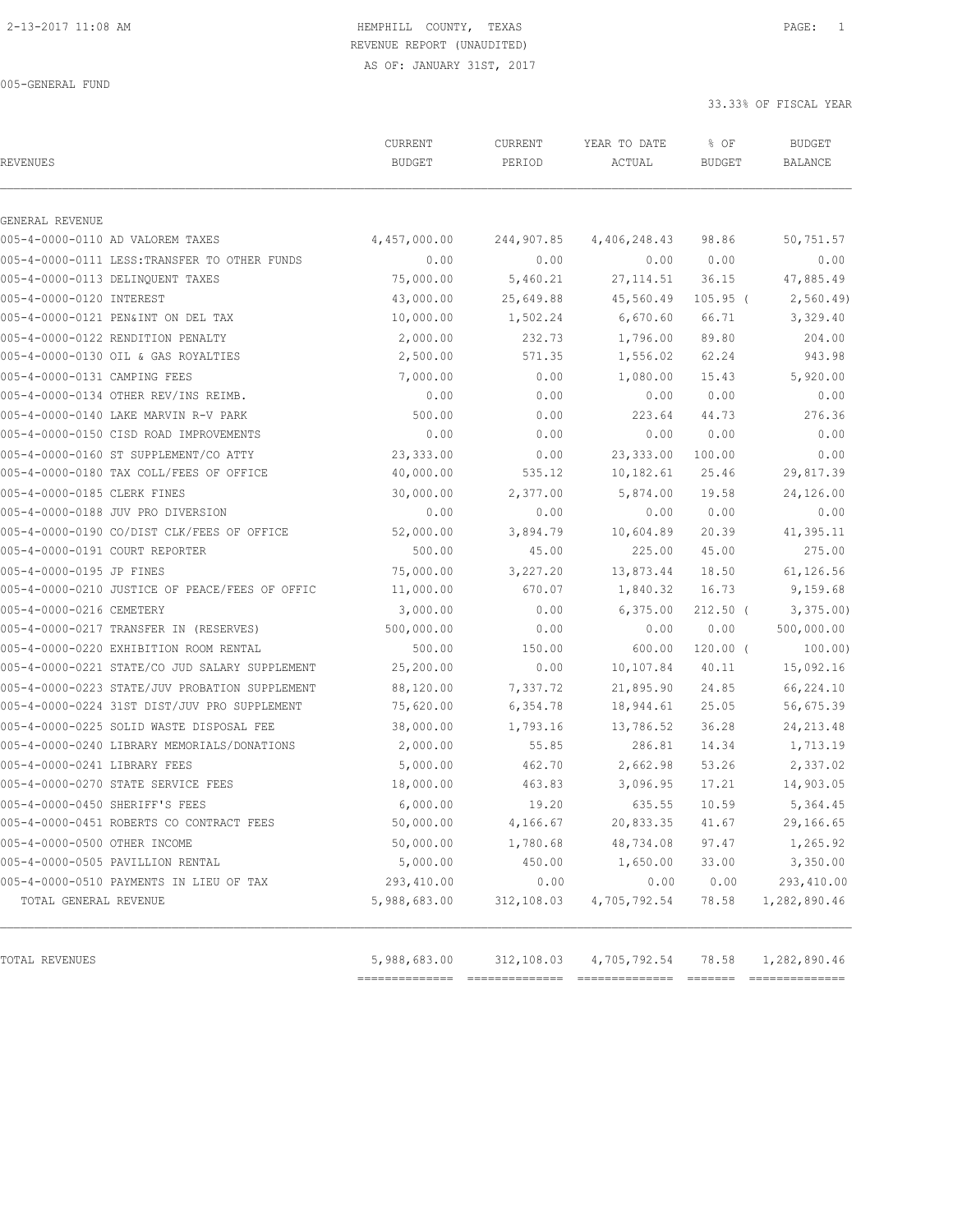AS OF: JANUARY 31ST, 2017

005-GENERAL FUND

| <b>REVENUES</b>                |                                                | CURRENT<br><b>BUDGET</b> | CURRENT<br>PERIOD | YEAR TO DATE<br>ACTUAL | % OF<br><b>BUDGET</b> | <b>BUDGET</b><br><b>BALANCE</b> |
|--------------------------------|------------------------------------------------|--------------------------|-------------------|------------------------|-----------------------|---------------------------------|
| GENERAL REVENUE                |                                                |                          |                   |                        |                       |                                 |
|                                | 005-4-0000-0110 AD VALOREM TAXES               | 4,457,000.00             | 244,907.85        | 4,406,248.43           | 98.86                 | 50,751.57                       |
|                                | 005-4-0000-0111 LESS:TRANSFER TO OTHER FUNDS   | 0.00                     | 0.00              | 0.00                   | 0.00                  | 0.00                            |
|                                | 005-4-0000-0113 DELINOUENT TAXES               | 75,000.00                | 5,460.21          | 27, 114.51             | 36.15                 | 47,885.49                       |
| 005-4-0000-0120 INTEREST       |                                                | 43,000.00                | 25,649.88         | 45,560.49              | $105.95$ (            | 2,560.49                        |
|                                | 005-4-0000-0121 PEN&INT ON DEL TAX             | 10,000.00                | 1,502.24          | 6,670.60               | 66.71                 | 3,329.40                        |
|                                | 005-4-0000-0122 RENDITION PENALTY              | 2,000.00                 | 232.73            | 1,796.00               | 89.80                 | 204.00                          |
|                                | 005-4-0000-0130 OIL & GAS ROYALTIES            | 2,500.00                 | 571.35            | 1,556.02               | 62.24                 | 943.98                          |
| 005-4-0000-0131 CAMPING FEES   |                                                | 7,000.00                 | 0.00              | 1,080.00               | 15.43                 | 5,920.00                        |
|                                | 005-4-0000-0134 OTHER REV/INS REIMB.           | 0.00                     | 0.00              | 0.00                   | 0.00                  | 0.00                            |
|                                | 005-4-0000-0140 LAKE MARVIN R-V PARK           | 500.00                   | 0.00              | 223.64                 | 44.73                 | 276.36                          |
|                                | 005-4-0000-0150 CISD ROAD IMPROVEMENTS         | 0.00                     | 0.00              | 0.00                   | 0.00                  | 0.00                            |
|                                | 005-4-0000-0160 ST SUPPLEMENT/CO ATTY          | 23,333.00                | 0.00              | 23, 333.00             | 100.00                | 0.00                            |
|                                | 005-4-0000-0180 TAX COLL/FEES OF OFFICE        | 40,000.00                | 535.12            | 10, 182.61             | 25.46                 | 29,817.39                       |
| 005-4-0000-0185 CLERK FINES    |                                                | 30,000.00                | 2,377.00          | 5,874.00               | 19.58                 | 24,126.00                       |
|                                | 005-4-0000-0188 JUV PRO DIVERSION              | 0.00                     | 0.00              | 0.00                   | 0.00                  | 0.00                            |
|                                | 005-4-0000-0190 CO/DIST CLK/FEES OF OFFICE     | 52,000.00                | 3,894.79          | 10,604.89              | 20.39                 | 41,395.11                       |
| 005-4-0000-0191 COURT REPORTER |                                                | 500.00                   | 45.00             | 225.00                 | 45.00                 | 275.00                          |
| 005-4-0000-0195 JP FINES       |                                                | 75,000.00                | 3,227.20          | 13,873.44              | 18.50                 | 61,126.56                       |
|                                | 005-4-0000-0210 JUSTICE OF PEACE/FEES OF OFFIC | 11,000.00                | 670.07            | 1,840.32               | 16.73                 | 9,159.68                        |
| 005-4-0000-0216 CEMETERY       |                                                | 3,000.00                 | 0.00              | 6,375.00               | $212.50$ (            | 3,375.00                        |
|                                | 005-4-0000-0217 TRANSFER IN (RESERVES)         | 500,000.00               | 0.00              | 0.00                   | 0.00                  | 500,000.00                      |
|                                | 005-4-0000-0220 EXHIBITION ROOM RENTAL         | 500.00                   | 150.00            | 600.00                 | $120.00$ (            | 100.00)                         |
|                                | 005-4-0000-0221 STATE/CO JUD SALARY SUPPLEMENT | 25,200.00                | 0.00              | 10,107.84              | 40.11                 | 15,092.16                       |
|                                | 005-4-0000-0223 STATE/JUV PROBATION SUPPLEMENT | 88,120.00                | 7,337.72          | 21,895.90              | 24.85                 | 66,224.10                       |
|                                | 005-4-0000-0224 31ST DIST/JUV PRO SUPPLEMENT   | 75,620.00                | 6,354.78          | 18,944.61              | 25.05                 | 56,675.39                       |
|                                | 005-4-0000-0225 SOLID WASTE DISPOSAL FEE       | 38,000.00                | 1,793.16          | 13,786.52              | 36.28                 | 24, 213.48                      |
|                                | 005-4-0000-0240 LIBRARY MEMORIALS/DONATIONS    | 2,000.00                 | 55.85             | 286.81                 | 14.34                 | 1,713.19                        |
| 005-4-0000-0241 LIBRARY FEES   |                                                | 5,000.00                 | 462.70            | 2,662.98               | 53.26                 | 2,337.02                        |
|                                | 005-4-0000-0270 STATE SERVICE FEES             | 18,000.00                | 463.83            | 3,096.95               | 17.21                 | 14,903.05                       |
| 005-4-0000-0450 SHERIFF'S FEES |                                                | 6,000.00                 | 19.20             | 635.55                 | 10.59                 | 5,364.45                        |
|                                | 005-4-0000-0451 ROBERTS CO CONTRACT FEES       | 50,000.00                | 4,166.67          | 20,833.35              | 41.67                 | 29,166.65                       |
| 005-4-0000-0500 OTHER INCOME   |                                                | 50,000.00                | 1,780.68          | 48,734.08              | 97.47                 | 1,265.92                        |
|                                | 005-4-0000-0505 PAVILLION RENTAL               | 5,000.00                 | 450.00            | 1,650.00               | 33.00                 | 3,350.00                        |
|                                | 005-4-0000-0510 PAYMENTS IN LIEU OF TAX        | 293,410.00               | 0.00              | 0.00                   | 0.00                  | 293,410.00                      |
| TOTAL GENERAL REVENUE          |                                                | 5,988,683.00             | 312,108.03        | 4,705,792.54           | 78.58                 | 1,282,890.46                    |
| TOTAL REVENUES                 |                                                | 5,988,683.00             | 312,108.03        | 4,705,792.54           | 78.58                 | 1,282,890.46                    |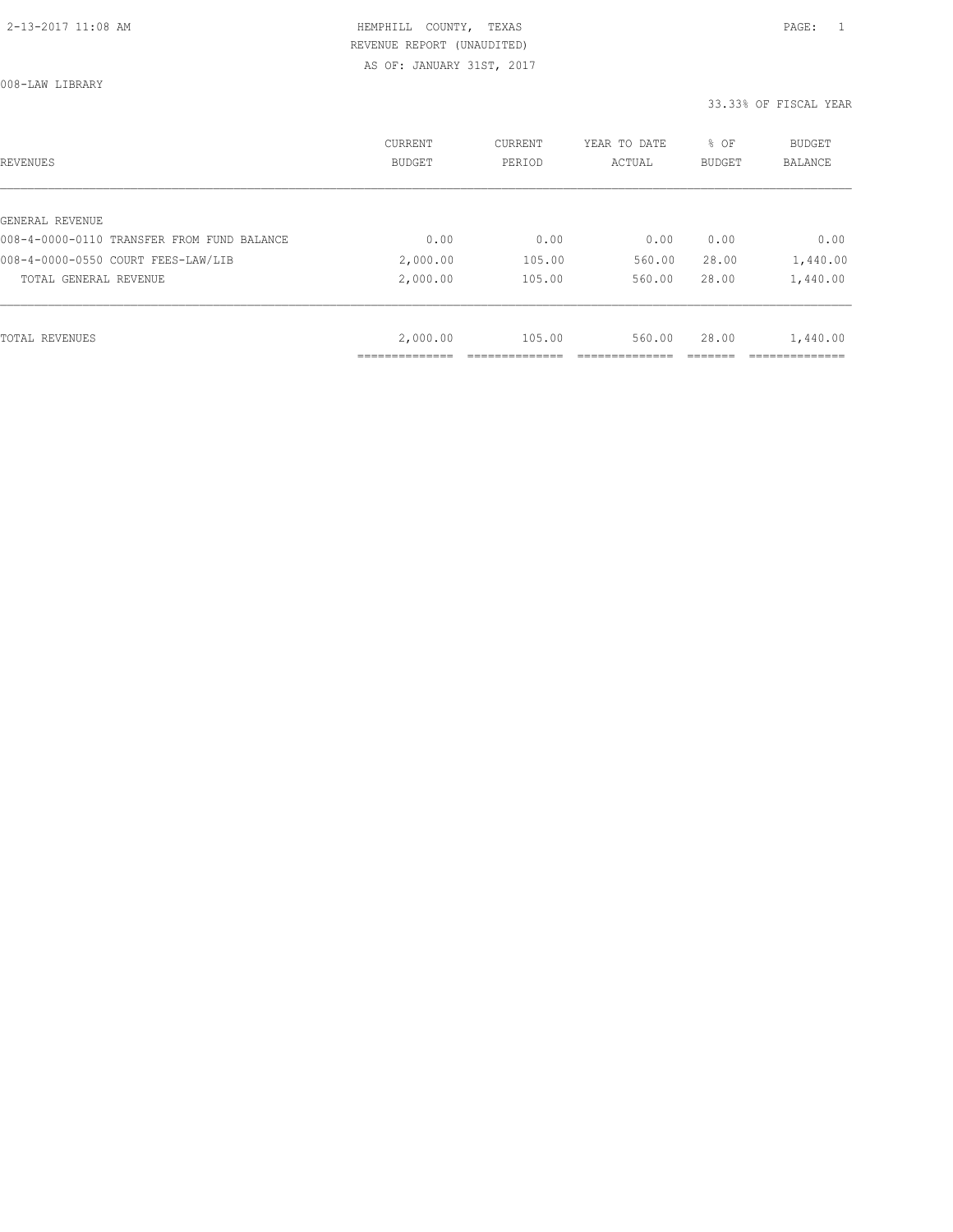AS OF: JANUARY 31ST, 2017

008-LAW LIBRARY

| REVENUES                                   | <b>CURRENT</b><br><b>BUDGET</b> | CURRENT<br>PERIOD | YEAR TO DATE<br>ACTUAL | % OF<br>BUDGET | BUDGET<br><b>BALANCE</b> |
|--------------------------------------------|---------------------------------|-------------------|------------------------|----------------|--------------------------|
|                                            |                                 |                   |                        |                |                          |
| GENERAL REVENUE                            |                                 |                   |                        |                |                          |
| 008-4-0000-0110 TRANSFER FROM FUND BALANCE | 0.00                            | 0.00              | 0.00                   | 0.00           | 0.00                     |
| 008-4-0000-0550 COURT FEES-LAW/LIB         | 2,000.00                        | 105.00            | 560.00                 | 28.00          | 1,440.00                 |
| TOTAL GENERAL REVENUE                      | 2,000.00                        | 105.00            | 560.00                 | 28.00          | 1,440.00                 |
|                                            |                                 |                   |                        |                |                          |
| TOTAL REVENUES                             | 2,000.00                        | 105.00            | 560.00                 | 28.00          | 1,440.00                 |
|                                            |                                 |                   |                        |                |                          |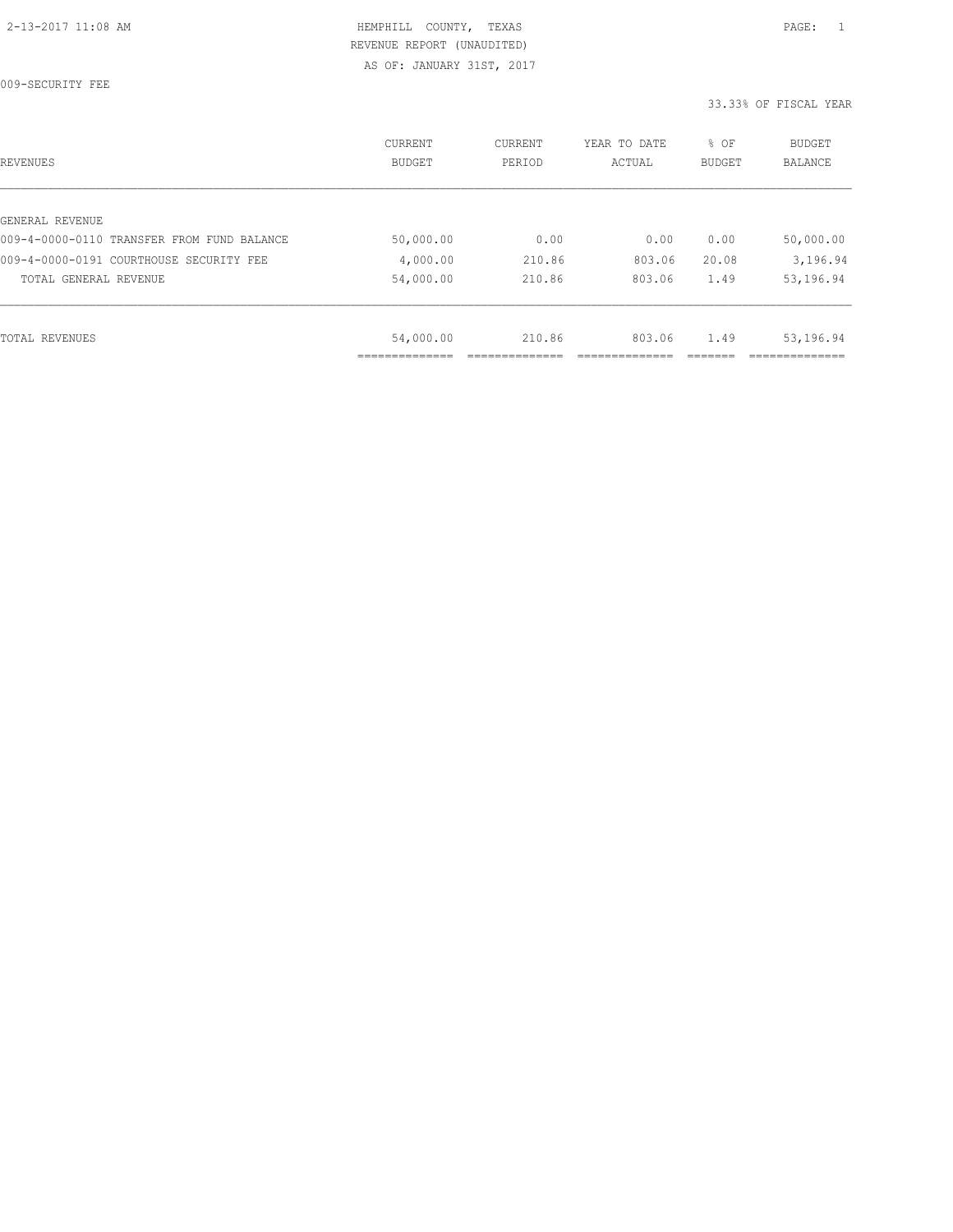009-SECURITY FEE

| REVENUES                                   | CURRENT<br><b>BUDGET</b> | CURRENT<br>PERIOD | YEAR TO DATE<br>ACTUAL | % OF<br>BUDGET | <b>BUDGET</b><br>BALANCE |
|--------------------------------------------|--------------------------|-------------------|------------------------|----------------|--------------------------|
|                                            |                          |                   |                        |                |                          |
| GENERAL REVENUE                            |                          |                   |                        |                |                          |
| 009-4-0000-0110 TRANSFER FROM FUND BALANCE | 50,000.00                | 0.00              | 0.00                   | 0.00           | 50,000.00                |
| 009-4-0000-0191 COURTHOUSE SECURITY FEE    | 4,000.00                 | 210.86            | 803.06                 | 20.08          | 3,196.94                 |
| TOTAL GENERAL REVENUE                      | 54,000.00                | 210.86            | 803.06                 | 1.49           | 53,196.94                |
|                                            |                          |                   |                        |                |                          |
| TOTAL REVENUES                             | 54,000.00                | 210.86            | 803.06                 | 1.49           | 53,196.94                |
|                                            |                          |                   |                        |                |                          |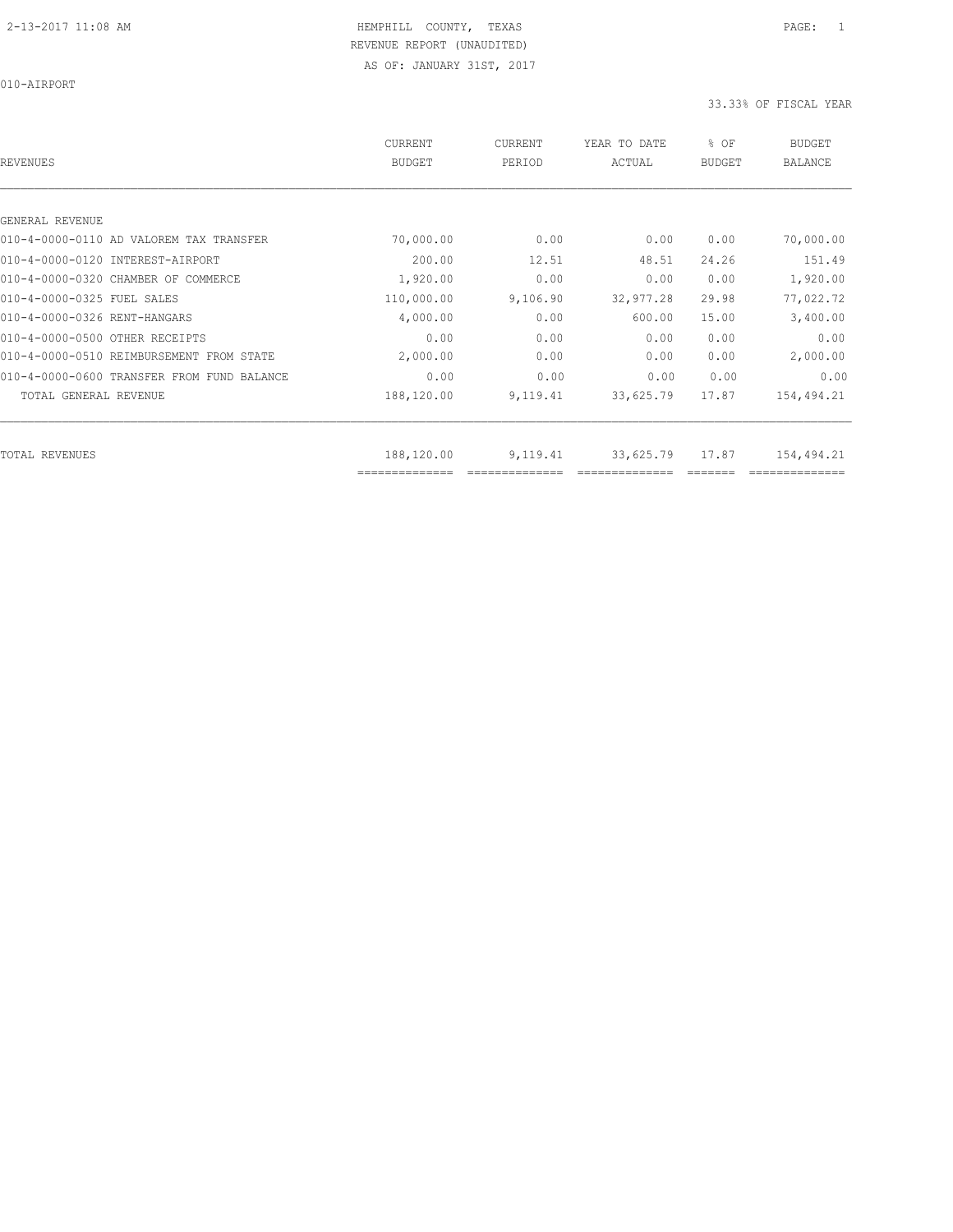010-AIRPORT

| REVENUES                                   | CURRENT<br><b>BUDGET</b> | CURRENT<br>PERIOD | YEAR TO DATE<br>ACTUAL | % OF<br><b>BUDGET</b> | <b>BUDGET</b><br><b>BALANCE</b> |
|--------------------------------------------|--------------------------|-------------------|------------------------|-----------------------|---------------------------------|
|                                            |                          |                   |                        |                       |                                 |
| GENERAL REVENUE                            |                          |                   |                        |                       |                                 |
| 010-4-0000-0110 AD VALOREM TAX TRANSFER    | 70,000.00                | 0.00              | 0.00                   | 0.00                  | 70,000.00                       |
| 010-4-0000-0120 INTEREST-AIRPORT           | 200.00                   | 12.51             | 48.51                  | 24.26                 | 151.49                          |
| 010-4-0000-0320 CHAMBER OF COMMERCE        | 1,920.00                 | 0.00              | 0.00                   | 0.00                  | 1,920.00                        |
| 010-4-0000-0325 FUEL SALES                 | 110,000.00               | 9,106.90          | 32,977.28              | 29.98                 | 77,022.72                       |
| 010-4-0000-0326 RENT-HANGARS               | 4,000.00                 | 0.00              | 600.00                 | 15.00                 | 3,400.00                        |
| 010-4-0000-0500 OTHER RECEIPTS             | 0.00                     | 0.00              | 0.00                   | 0.00                  | 0.00                            |
| 010-4-0000-0510 REIMBURSEMENT FROM STATE   | 2,000.00                 | 0.00              | 0.00                   | 0.00                  | 2,000.00                        |
| 010-4-0000-0600 TRANSFER FROM FUND BALANCE | 0.00                     | 0.00              | 0.00                   | 0.00                  | 0.00                            |
| TOTAL GENERAL REVENUE                      | 188,120.00               | 9,119.41          | 33,625.79              | 17.87                 | 154,494.21                      |
| TOTAL REVENUES                             | 188,120.00               | 9,119.41          | 33,625.79              | 17.87                 | 154,494.21                      |
|                                            | --------------           |                   |                        |                       |                                 |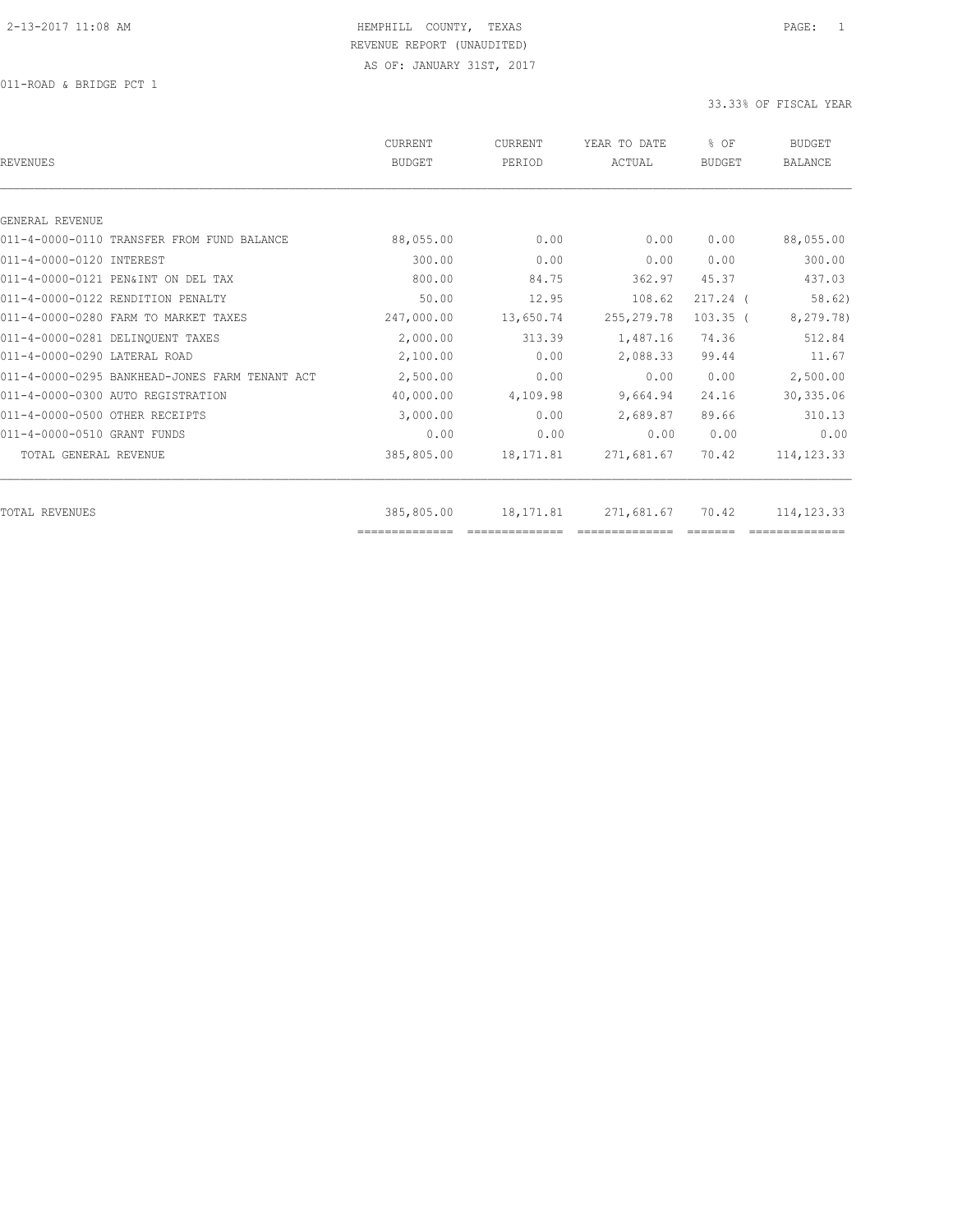011-ROAD & BRIDGE PCT 1

| <b>REVENUES</b>                                | <b>CURRENT</b><br><b>BUDGET</b> | CURRENT<br>PERIOD | YEAR TO DATE<br>ACTUAL | % OF<br><b>BUDGET</b> | <b>BUDGET</b><br><b>BALANCE</b> |
|------------------------------------------------|---------------------------------|-------------------|------------------------|-----------------------|---------------------------------|
|                                                |                                 |                   |                        |                       |                                 |
| GENERAL REVENUE                                |                                 |                   |                        |                       |                                 |
| 011-4-0000-0110 TRANSFER FROM FUND BALANCE     | 88,055.00                       | 0.00              | 0.00                   | 0.00                  | 88,055.00                       |
| 011-4-0000-0120 INTEREST                       | 300.00                          | 0.00              | 0.00                   | 0.00                  | 300.00                          |
| 011-4-0000-0121 PEN&INT ON DEL TAX             | 800.00                          | 84.75             | 362.97                 | 45.37                 | 437.03                          |
| 011-4-0000-0122 RENDITION PENALTY              | 50.00                           | 12.95             | 108.62                 | $217.24$ (            | 58.62)                          |
| 011-4-0000-0280 FARM TO MARKET TAXES           | 247,000.00                      | 13,650.74         | 255, 279.78            | $103.35$ (            | 8,279.78)                       |
| 011-4-0000-0281 DELINQUENT TAXES               | 2,000.00                        | 313.39            | 1,487.16               | 74.36                 | 512.84                          |
| 011-4-0000-0290 LATERAL ROAD                   | 2,100.00                        | 0.00              | 2,088.33               | 99.44                 | 11.67                           |
| 011-4-0000-0295 BANKHEAD-JONES FARM TENANT ACT | 2,500.00                        | 0.00              | 0.00                   | 0.00                  | 2,500.00                        |
| 011-4-0000-0300 AUTO REGISTRATION              | 40,000.00                       | 4,109.98          | 9,664.94               | 24.16                 | 30,335.06                       |
| 011-4-0000-0500 OTHER RECEIPTS                 | 3,000.00                        | 0.00              | 2,689.87               | 89.66                 | 310.13                          |
| 011-4-0000-0510 GRANT FUNDS                    | 0.00                            | 0.00              | 0.00                   | 0.00                  | 0.00                            |
| TOTAL GENERAL REVENUE                          | 385,805.00                      | 18,171.81         | 271,681.67             | 70.42                 | 114, 123.33                     |
|                                                |                                 |                   |                        |                       |                                 |
| TOTAL REVENUES                                 | 385,805.00<br>==============    | 18,171.81         | 271,681.67             | 70.42                 | 114, 123.33                     |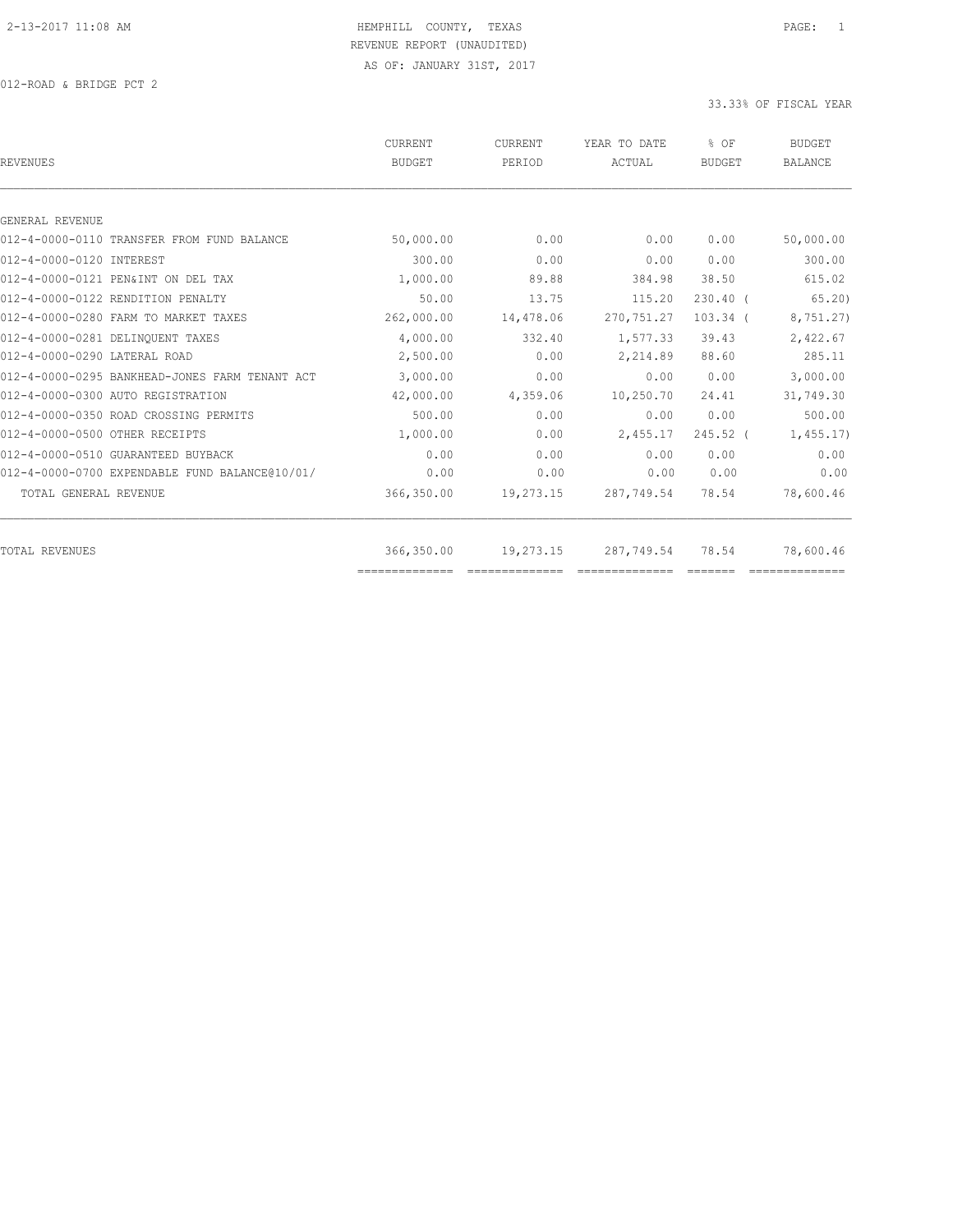012-ROAD & BRIDGE PCT 2

| CURRENT<br><b>BUDGET</b> | <b>CURRENT</b><br>PERIOD | YEAR TO DATE<br>ACTUAL | $8$ OF<br><b>BUDGET</b> | <b>BUDGET</b><br><b>BALANCE</b> |
|--------------------------|--------------------------|------------------------|-------------------------|---------------------------------|
|                          |                          |                        |                         |                                 |
|                          |                          |                        |                         |                                 |
| 50,000.00                | 0.00                     | 0.00                   | 0.00                    | 50,000.00                       |
| 300.00                   | 0.00                     | 0.00                   | 0.00                    | 300.00                          |
| 1,000.00                 | 89.88                    | 384.98                 | 38.50                   | 615.02                          |
| 50.00                    | 13.75                    | 115.20                 | $230.40$ (              | 65, 20                          |
| 262,000.00               | 14,478.06                | 270, 751.27            | $103.34$ (              | 8,751.27)                       |
| 4,000.00                 | 332.40                   | 1,577.33               | 39.43                   | 2,422.67                        |
| 2,500.00                 | 0.00                     | 2,214.89               | 88.60                   | 285.11                          |
| 3,000.00                 | 0.00                     | 0.00                   | 0.00                    | 3,000.00                        |
| 42,000.00                | 4,359.06                 | 10,250.70              | 24.41                   | 31,749.30                       |
| 500.00                   | 0.00                     | 0.00                   | 0.00                    | 500.00                          |
| 1,000.00                 | 0.00                     | 2,455.17               | $245.52$ (              | 1,455.17                        |
| 0.00                     | 0.00                     | 0.00                   | 0.00                    | 0.00                            |
| 0.00                     | 0.00                     | 0.00                   | 0.00                    | 0.00                            |
| 366,350.00               | 19,273.15                | 287,749.54             | 78.54                   | 78,600.46                       |
|                          |                          |                        | 78.54                   | 78,600.46                       |
|                          | 366,350.00               | 19,273.15              | 287,749.54              |                                 |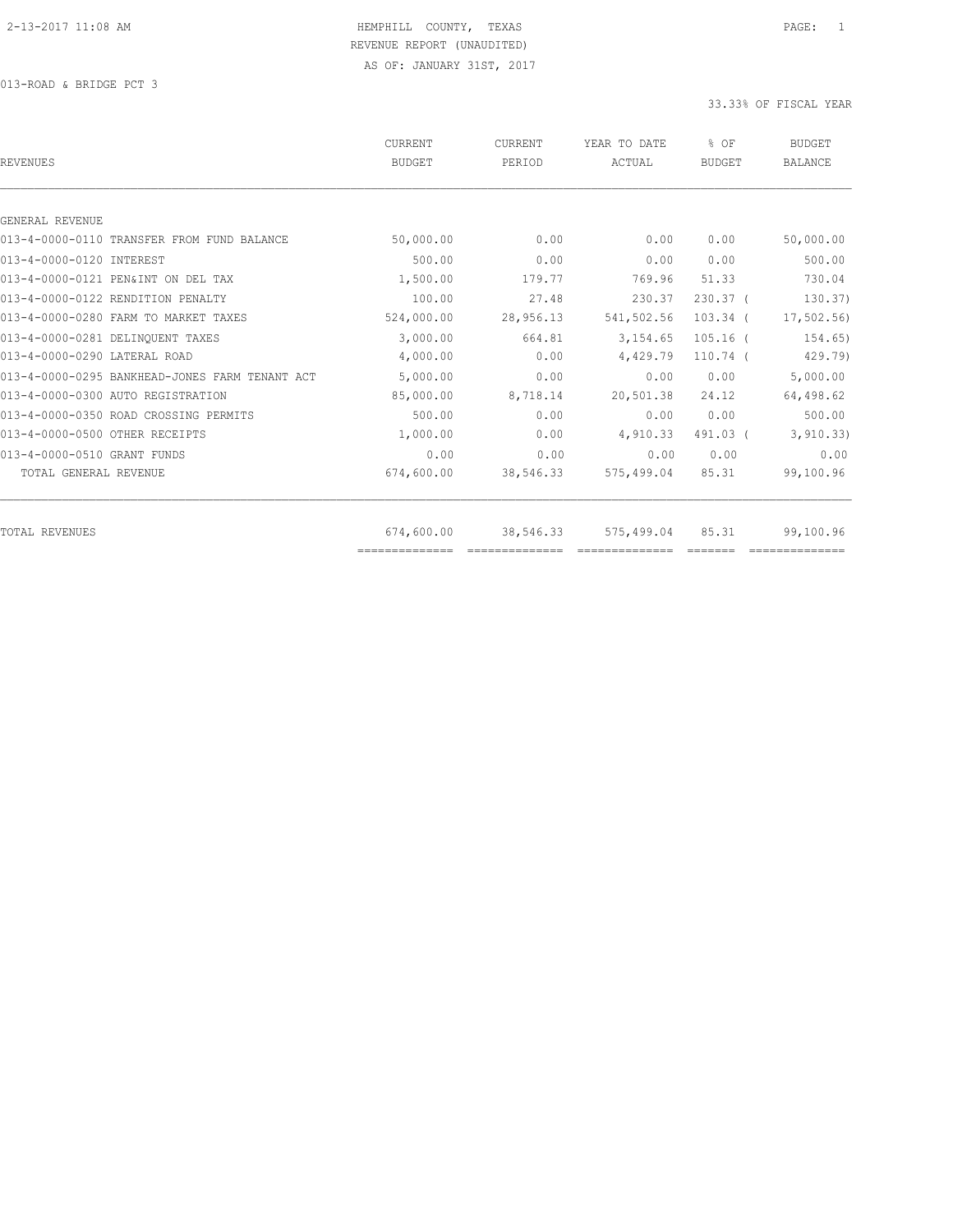013-ROAD & BRIDGE PCT 3

| <b>BUDGET</b> | CURRENT<br>PERIOD            | YEAR TO DATE<br>ACTUAL                                                                                                                                                                                                                                                                                                                                                                                                                                                                              | % OF<br><b>BUDGET</b>        | <b>BUDGET</b><br><b>BALANCE</b> |
|---------------|------------------------------|-----------------------------------------------------------------------------------------------------------------------------------------------------------------------------------------------------------------------------------------------------------------------------------------------------------------------------------------------------------------------------------------------------------------------------------------------------------------------------------------------------|------------------------------|---------------------------------|
|               |                              |                                                                                                                                                                                                                                                                                                                                                                                                                                                                                                     |                              |                                 |
|               |                              |                                                                                                                                                                                                                                                                                                                                                                                                                                                                                                     |                              |                                 |
| 50,000.00     | 0.00                         | 0.00                                                                                                                                                                                                                                                                                                                                                                                                                                                                                                | 0.00                         | 50,000.00                       |
| 500.00        | 0.00                         | 0.00                                                                                                                                                                                                                                                                                                                                                                                                                                                                                                | 0.00                         | 500.00                          |
| 1,500.00      | 179.77                       | 769.96                                                                                                                                                                                                                                                                                                                                                                                                                                                                                              | 51.33                        | 730.04                          |
| 100.00        | 27.48                        | 230.37                                                                                                                                                                                                                                                                                                                                                                                                                                                                                              | $230.37$ (                   | 130.37)                         |
| 524,000.00    | 28,956.13                    | 541,502.56                                                                                                                                                                                                                                                                                                                                                                                                                                                                                          | $103.34$ (                   | 17,502.56                       |
| 3,000.00      | 664.81                       | 3,154.65                                                                                                                                                                                                                                                                                                                                                                                                                                                                                            | $105.16$ (                   | 154.65)                         |
| 4,000.00      | 0.00                         | 4,429.79                                                                                                                                                                                                                                                                                                                                                                                                                                                                                            | $110.74$ (                   | 429.79)                         |
| 5,000.00      | 0.00                         | 0.00                                                                                                                                                                                                                                                                                                                                                                                                                                                                                                | 0.00                         | 5,000.00                        |
| 85,000.00     | 8,718.14                     | 20,501.38                                                                                                                                                                                                                                                                                                                                                                                                                                                                                           | 24.12                        | 64,498.62                       |
| 500.00        | 0.00                         | 0.00                                                                                                                                                                                                                                                                                                                                                                                                                                                                                                | 0.00                         | 500.00                          |
| 1,000.00      | 0.00                         | 4,910.33                                                                                                                                                                                                                                                                                                                                                                                                                                                                                            | 491.03 (                     | 3, 910.33)                      |
| 0.00          | 0.00                         | 0.00                                                                                                                                                                                                                                                                                                                                                                                                                                                                                                | 0.00                         | 0.00                            |
| 674,600.00    | 38,546.33                    | 575,499.04                                                                                                                                                                                                                                                                                                                                                                                                                                                                                          | 85.31                        | 99,100.96                       |
|               |                              |                                                                                                                                                                                                                                                                                                                                                                                                                                                                                                     |                              | 99,100.96                       |
|               | 674,600.00<br>-------------- | 38,546.33<br>$\begin{array}{cccccccccc} \multicolumn{2}{c}{} & \multicolumn{2}{c}{} & \multicolumn{2}{c}{} & \multicolumn{2}{c}{} & \multicolumn{2}{c}{} & \multicolumn{2}{c}{} & \multicolumn{2}{c}{} & \multicolumn{2}{c}{} & \multicolumn{2}{c}{} & \multicolumn{2}{c}{} & \multicolumn{2}{c}{} & \multicolumn{2}{c}{} & \multicolumn{2}{c}{} & \multicolumn{2}{c}{} & \multicolumn{2}{c}{} & \multicolumn{2}{c}{} & \multicolumn{2}{c}{} & \multicolumn{2}{c}{} & \multicolumn{2}{c}{} & \mult$ | 575,499.04<br>============== | 85.31                           |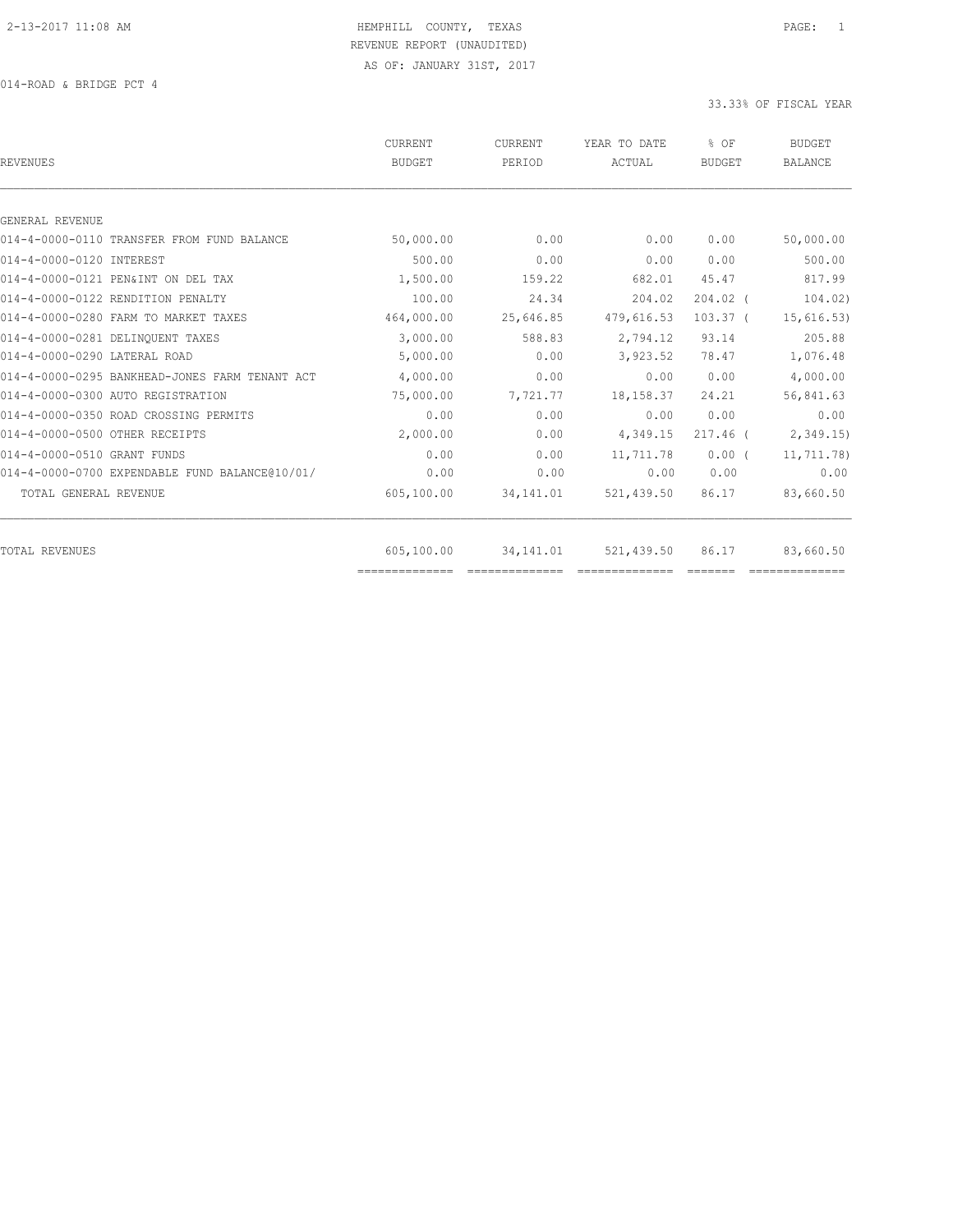014-ROAD & BRIDGE PCT 4

| <b>REVENUES</b>                                | <b>CURRENT</b><br><b>BUDGET</b> | <b>CURRENT</b><br>PERIOD | YEAR TO DATE<br>ACTUAL | % OF<br><b>BUDGET</b> | <b>BUDGET</b><br><b>BALANCE</b> |
|------------------------------------------------|---------------------------------|--------------------------|------------------------|-----------------------|---------------------------------|
|                                                |                                 |                          |                        |                       |                                 |
| GENERAL REVENUE                                |                                 |                          |                        |                       |                                 |
| 014-4-0000-0110 TRANSFER FROM FUND BALANCE     | 50,000.00                       | 0.00                     | 0.00                   | 0.00                  | 50,000.00                       |
| 014-4-0000-0120 INTEREST                       | 500.00                          | 0.00                     | 0.00                   | 0.00                  | 500.00                          |
| 014-4-0000-0121 PEN&INT ON DEL TAX             | 1,500.00                        | 159.22                   | 682.01                 | 45.47                 | 817.99                          |
| 014-4-0000-0122 RENDITION PENALTY              | 100.00                          | 24.34                    | 204.02                 | $204.02$ (            | 104.02)                         |
| 014-4-0000-0280 FARM TO MARKET TAXES           | 464,000.00                      | 25,646.85                | 479,616.53             | $103.37$ (            | 15,616.53)                      |
| 014-4-0000-0281 DELINQUENT TAXES               | 3,000.00                        | 588.83                   | 2,794.12               | 93.14                 | 205.88                          |
| 014-4-0000-0290 LATERAL ROAD                   | 5,000.00                        | 0.00                     | 3,923.52               | 78.47                 | 1,076.48                        |
| 014-4-0000-0295 BANKHEAD-JONES FARM TENANT ACT | 4,000.00                        | 0.00                     | 0.00                   | 0.00                  | 4,000.00                        |
| 014-4-0000-0300 AUTO REGISTRATION              | 75,000.00                       | 7,721.77                 | 18,158.37              | 24.21                 | 56,841.63                       |
| 014-4-0000-0350 ROAD CROSSING PERMITS          | 0.00                            | 0.00                     | 0.00                   | 0.00                  | 0.00                            |
| 014-4-0000-0500 OTHER RECEIPTS                 | 2,000.00                        | 0.00                     | 4,349.15               | $217.46$ (            | 2,349.15                        |
| 014-4-0000-0510 GRANT FUNDS                    | 0.00                            | 0.00                     | 11,711.78              | $0.00$ (              | 11,711.78)                      |
| 014-4-0000-0700 EXPENDABLE FUND BALANCE@10/01/ | 0.00                            | 0.00                     | 0.00                   | 0.00                  | 0.00                            |
| TOTAL GENERAL REVENUE                          | 605,100.00                      | 34, 141.01               | 521,439.50             | 86.17                 | 83,660.50                       |
|                                                |                                 |                          |                        |                       |                                 |
| TOTAL REVENUES                                 | 605,100.00                      | 34,141.01                | 521,439.50             | 86.17                 | 83,660.50                       |
|                                                | ==============                  |                          |                        |                       |                                 |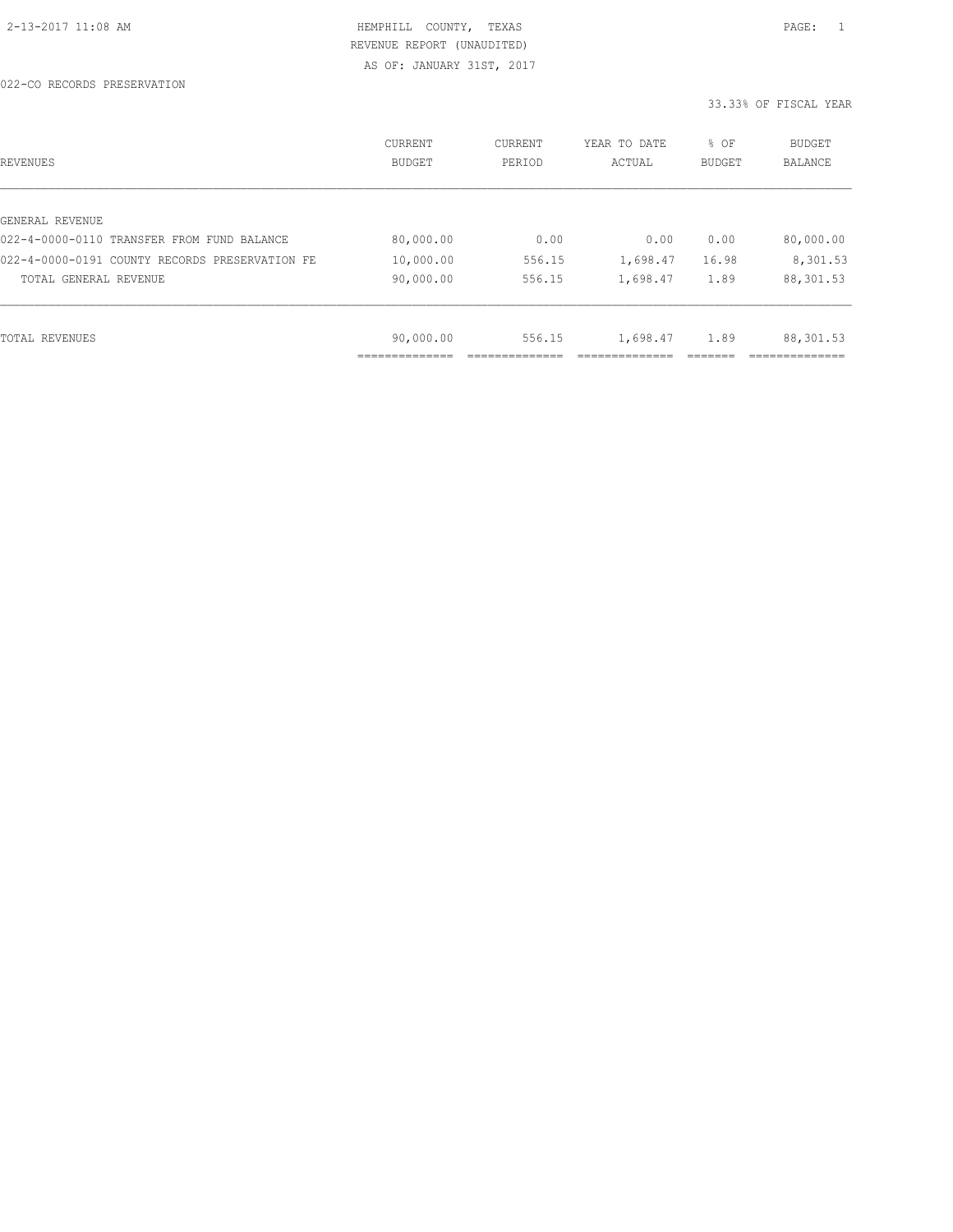| REVENUES                                       | CURRENT<br><b>BUDGET</b> | CURRENT<br>PERIOD | YEAR TO DATE<br>ACTUAL | % OF<br><b>BUDGET</b> | <b>BUDGET</b><br><b>BALANCE</b> |
|------------------------------------------------|--------------------------|-------------------|------------------------|-----------------------|---------------------------------|
|                                                |                          |                   |                        |                       |                                 |
| GENERAL REVENUE                                |                          |                   |                        |                       |                                 |
| 022-4-0000-0110 TRANSFER FROM FUND BALANCE     | 80,000.00                | 0.00              | 0.00                   | 0.00                  | 80,000.00                       |
| 022-4-0000-0191 COUNTY RECORDS PRESERVATION FE | 10,000.00                | 556.15            | 1,698.47               | 16.98                 | 8,301.53                        |
| TOTAL GENERAL REVENUE                          | 90,000.00                | 556.15            | 1,698.47               | 1.89                  | 88,301.53                       |
|                                                |                          |                   |                        |                       |                                 |
| TOTAL REVENUES                                 | 90,000.00                | 556.15            | 1,698.47               | 1.89                  | 88,301.53                       |
|                                                |                          |                   |                        |                       |                                 |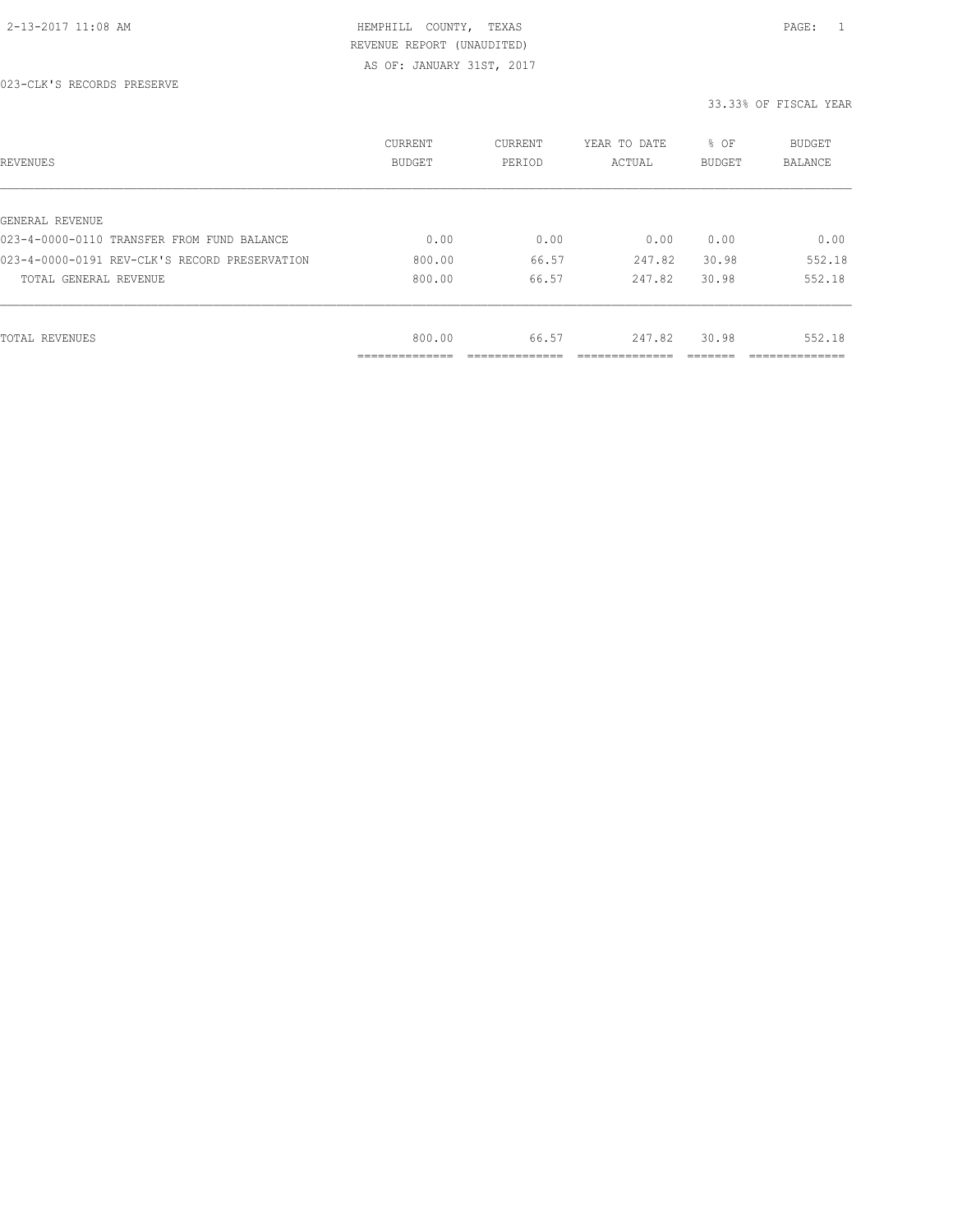| REVENUES                                      | CURRENT<br><b>BUDGET</b>   | CURRENT<br>PERIOD | YEAR TO DATE<br>ACTUAL | % OF<br>BUDGET | BUDGET<br><b>BALANCE</b> |
|-----------------------------------------------|----------------------------|-------------------|------------------------|----------------|--------------------------|
|                                               |                            |                   |                        |                |                          |
| GENERAL REVENUE                               |                            |                   |                        |                |                          |
| 023-4-0000-0110 TRANSFER FROM FUND BALANCE    | 0.00                       | 0.00              | 0.00                   | 0.00           | 0.00                     |
| 023-4-0000-0191 REV-CLK'S RECORD PRESERVATION | 800.00                     | 66.57             | 247.82                 | 30.98          | 552.18                   |
| TOTAL GENERAL REVENUE                         | 800.00                     | 66.57             | 247.82                 | 30.98          | 552.18                   |
|                                               |                            |                   |                        |                |                          |
| TOTAL REVENUES                                | 800.00                     | 66.57             | 247.82                 | 30.98          | 552.18                   |
|                                               | -----------<br>----------- |                   |                        |                | ___________              |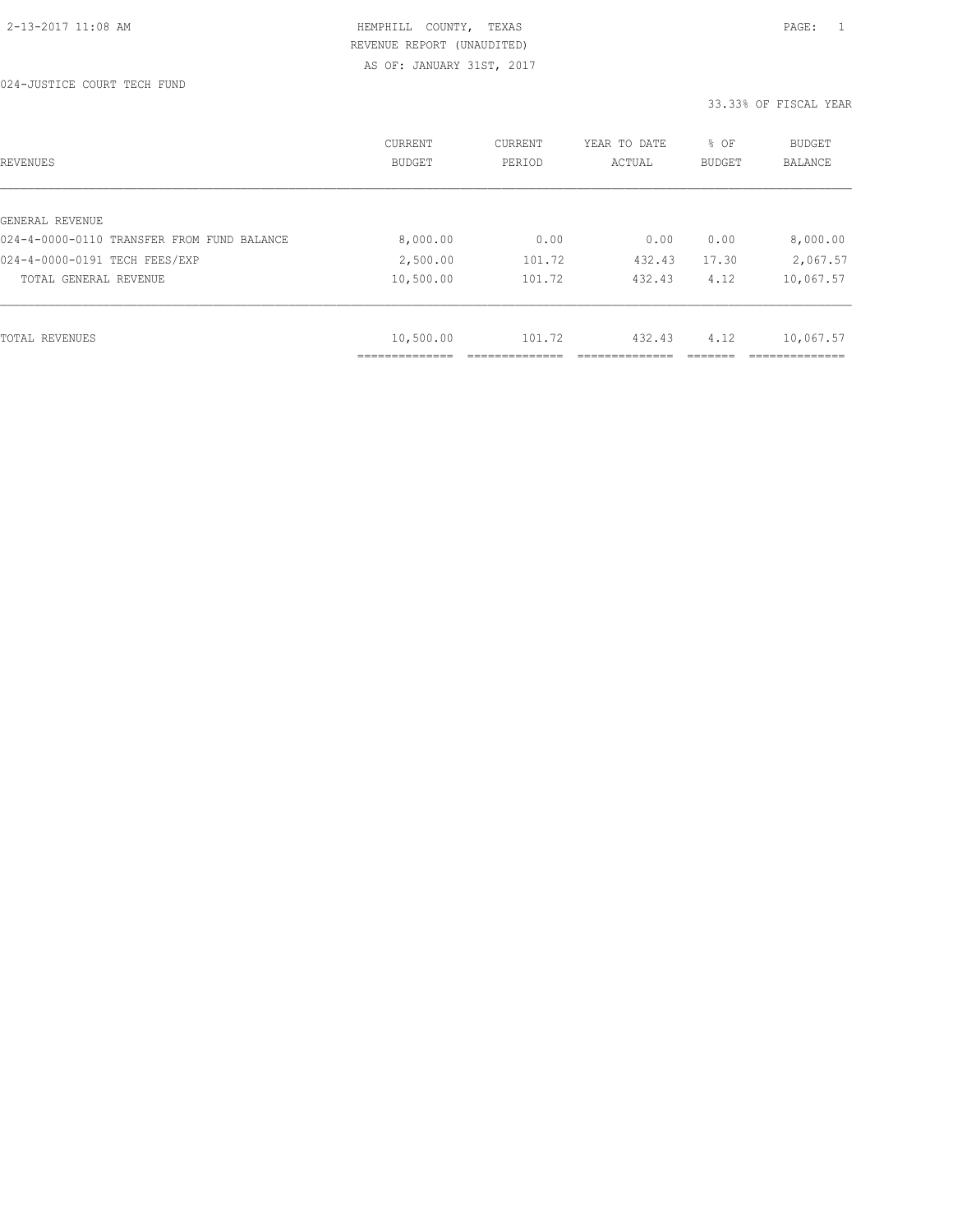| REVENUES                                   | CURRENT<br><b>BUDGET</b> | CURRENT<br>PERIOD | YEAR TO DATE<br>ACTUAL | % OF<br>BUDGET | BUDGET<br><b>BALANCE</b> |
|--------------------------------------------|--------------------------|-------------------|------------------------|----------------|--------------------------|
|                                            |                          |                   |                        |                |                          |
| GENERAL REVENUE                            |                          |                   |                        |                |                          |
| 024-4-0000-0110 TRANSFER FROM FUND BALANCE | 8,000.00                 | 0.00              | 0.00                   | 0.00           | 8,000.00                 |
| 024-4-0000-0191 TECH FEES/EXP              | 2,500.00                 | 101.72            | 432.43                 | 17.30          | 2,067.57                 |
| TOTAL GENERAL REVENUE                      | 10,500.00                | 101.72            | 432.43                 | 4.12           | 10,067.57                |
|                                            |                          |                   |                        |                |                          |
|                                            |                          |                   |                        |                |                          |
| TOTAL REVENUES                             | 10,500.00                | 101.72            | 432.43                 | 4.12           | 10,067.57                |
|                                            |                          |                   |                        |                |                          |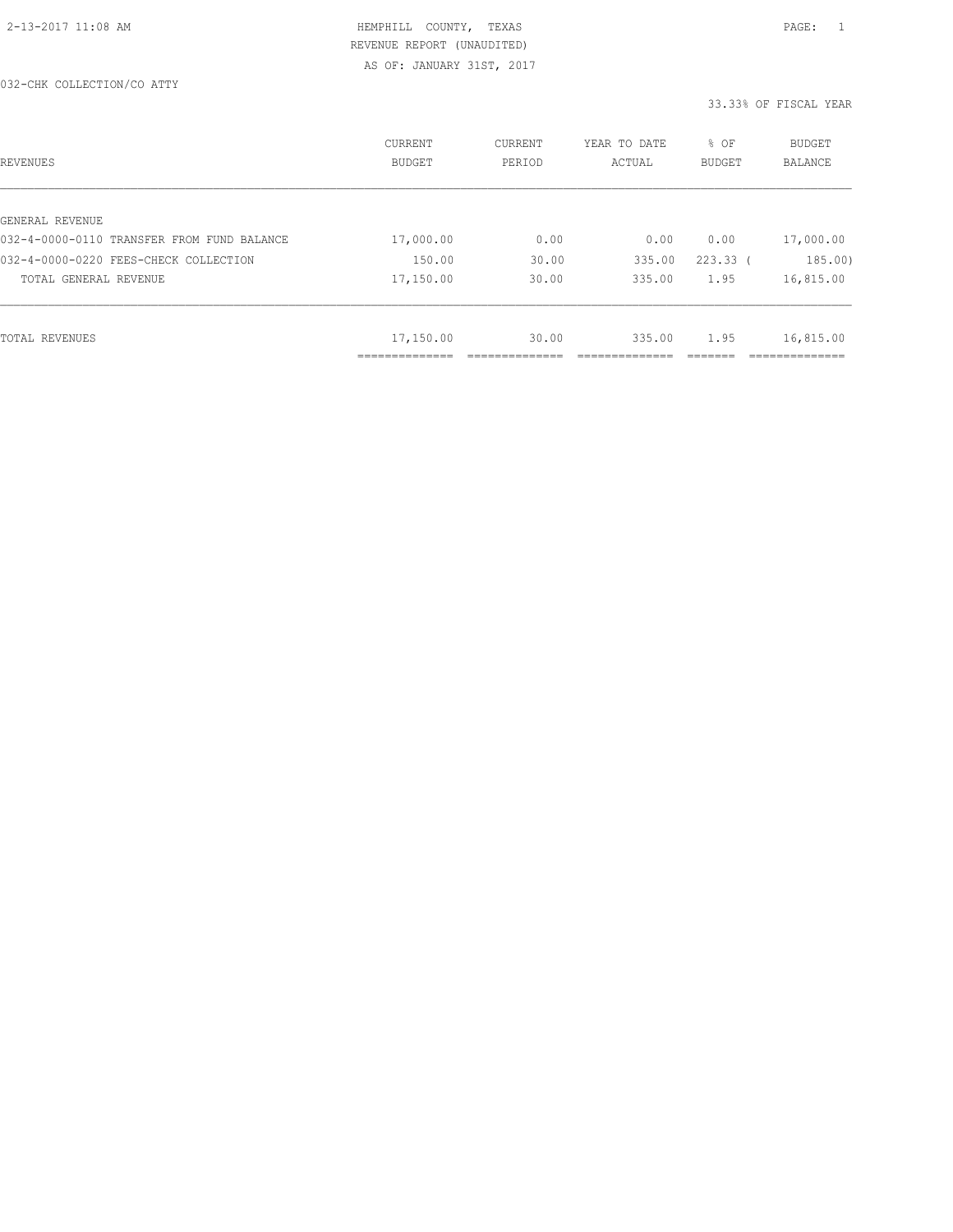| REVENUES                                   | CURRENT<br><b>BUDGET</b>  | CURRENT<br>PERIOD | YEAR TO DATE<br>ACTUAL | % OF<br><b>BUDGET</b> | <b>BUDGET</b><br><b>BALANCE</b> |
|--------------------------------------------|---------------------------|-------------------|------------------------|-----------------------|---------------------------------|
|                                            |                           |                   |                        |                       |                                 |
| GENERAL REVENUE                            |                           |                   |                        |                       |                                 |
| 032-4-0000-0110 TRANSFER FROM FUND BALANCE | 17,000.00                 | 0.00              | 0.00                   | 0.00                  | 17,000.00                       |
| 032-4-0000-0220 FEES-CHECK COLLECTION      | 150.00                    | 30.00             | 335.00                 | $223.33$ (            | 185.00)                         |
| TOTAL GENERAL REVENUE                      | 17,150.00                 | 30.00             | 335.00                 | 1.95                  | 16,815.00                       |
|                                            |                           |                   |                        |                       |                                 |
| TOTAL REVENUES                             | 17,150.00                 | 30.00             | 335.00                 | 1.95                  | 16,815.00                       |
|                                            | ------------<br>_________ |                   |                        |                       |                                 |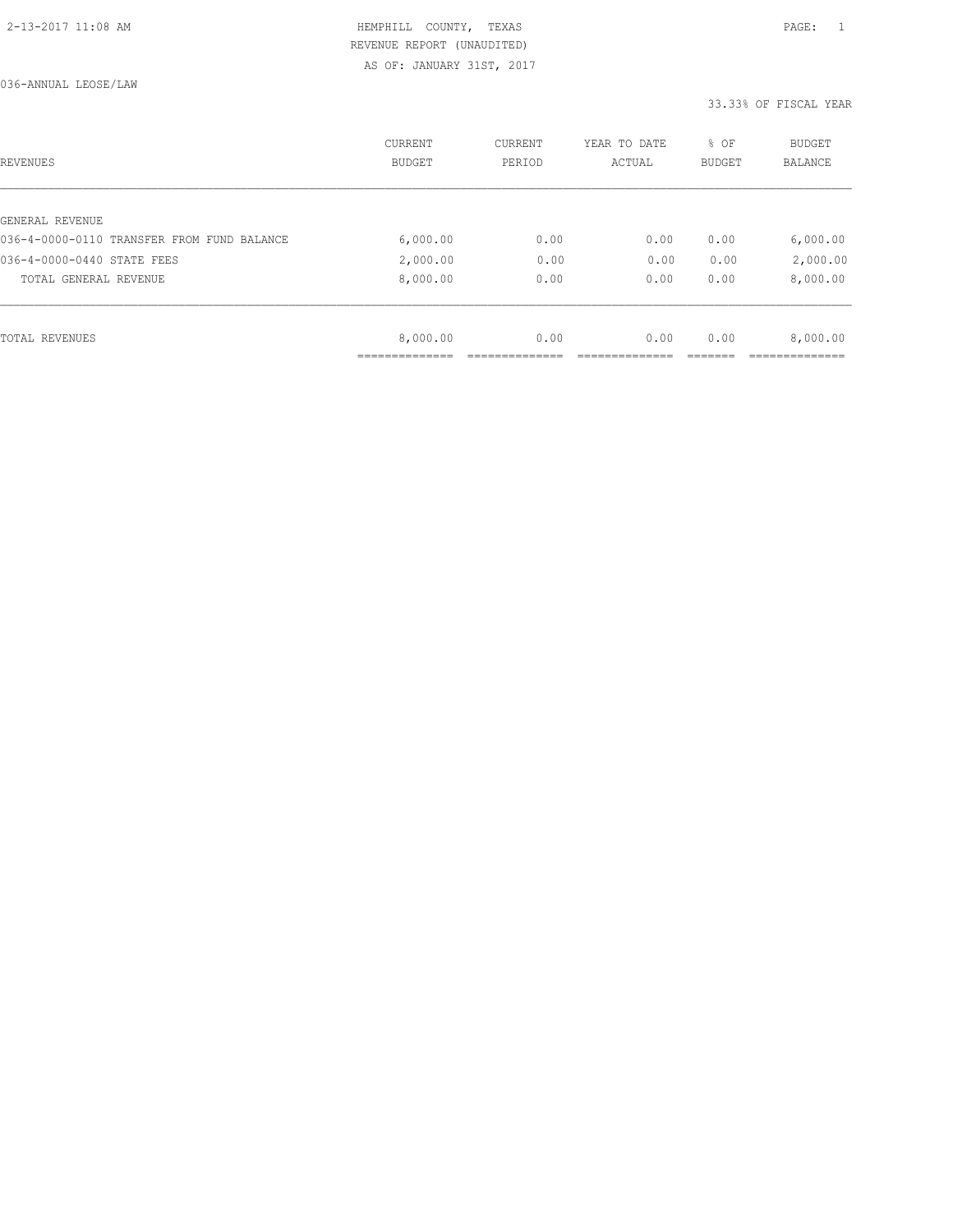| REVENUES                                   | CURRENT<br><b>BUDGET</b> | CURRENT<br>PERIOD | YEAR TO DATE<br>ACTUAL | % OF<br>BUDGET | BUDGET<br><b>BALANCE</b> |
|--------------------------------------------|--------------------------|-------------------|------------------------|----------------|--------------------------|
|                                            |                          |                   |                        |                |                          |
| GENERAL REVENUE                            |                          |                   |                        |                |                          |
| 036-4-0000-0110 TRANSFER FROM FUND BALANCE | 6,000.00                 | 0.00              | 0.00                   | 0.00           | 6,000.00                 |
| 036-4-0000-0440 STATE FEES                 | 2,000.00                 | 0.00              | 0.00                   | 0.00           | 2,000.00                 |
| TOTAL GENERAL REVENUE                      | 8,000.00                 | 0.00              | 0.00                   | 0.00           | 8,000.00                 |
|                                            |                          |                   |                        |                |                          |
| TOTAL REVENUES                             | 8,000.00                 | 0.00              | 0.00                   | 0.00           | 8,000.00                 |
|                                            | ___________              |                   |                        |                |                          |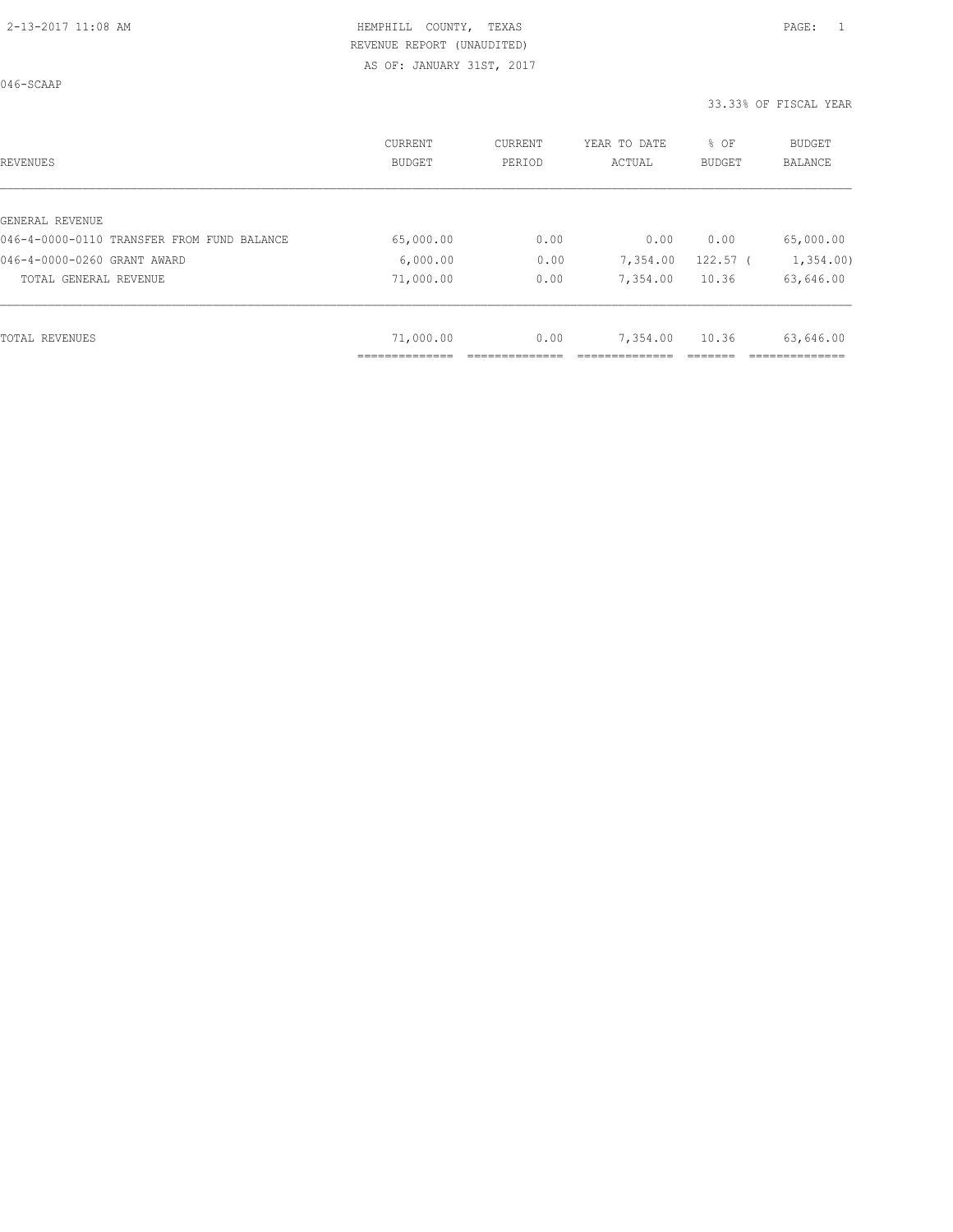046-SCAAP

| REVENUES                                   | CURRENT<br>BUDGET | CURRENT<br>PERIOD | YEAR TO DATE<br>ACTUAL | % OF<br><b>BUDGET</b> | <b>BUDGET</b><br>BALANCE |
|--------------------------------------------|-------------------|-------------------|------------------------|-----------------------|--------------------------|
|                                            |                   |                   |                        |                       |                          |
| GENERAL REVENUE                            |                   |                   |                        |                       |                          |
| 046-4-0000-0110 TRANSFER FROM FUND BALANCE | 65,000.00         | 0.00              | 0.00                   | 0.00                  | 65,000.00                |
| 046-4-0000-0260 GRANT AWARD                | 6,000.00          | 0.00              | 7,354.00               | $122.57$ (            | 1,354.00                 |
| TOTAL GENERAL REVENUE                      | 71,000.00         | 0.00              | 7,354.00               | 10.36                 | 63,646.00                |
|                                            |                   |                   |                        |                       |                          |
| TOTAL REVENUES                             | 71,000.00         | 0.00              | 7,354.00               | 10.36                 | 63,646.00                |
|                                            |                   |                   |                        |                       |                          |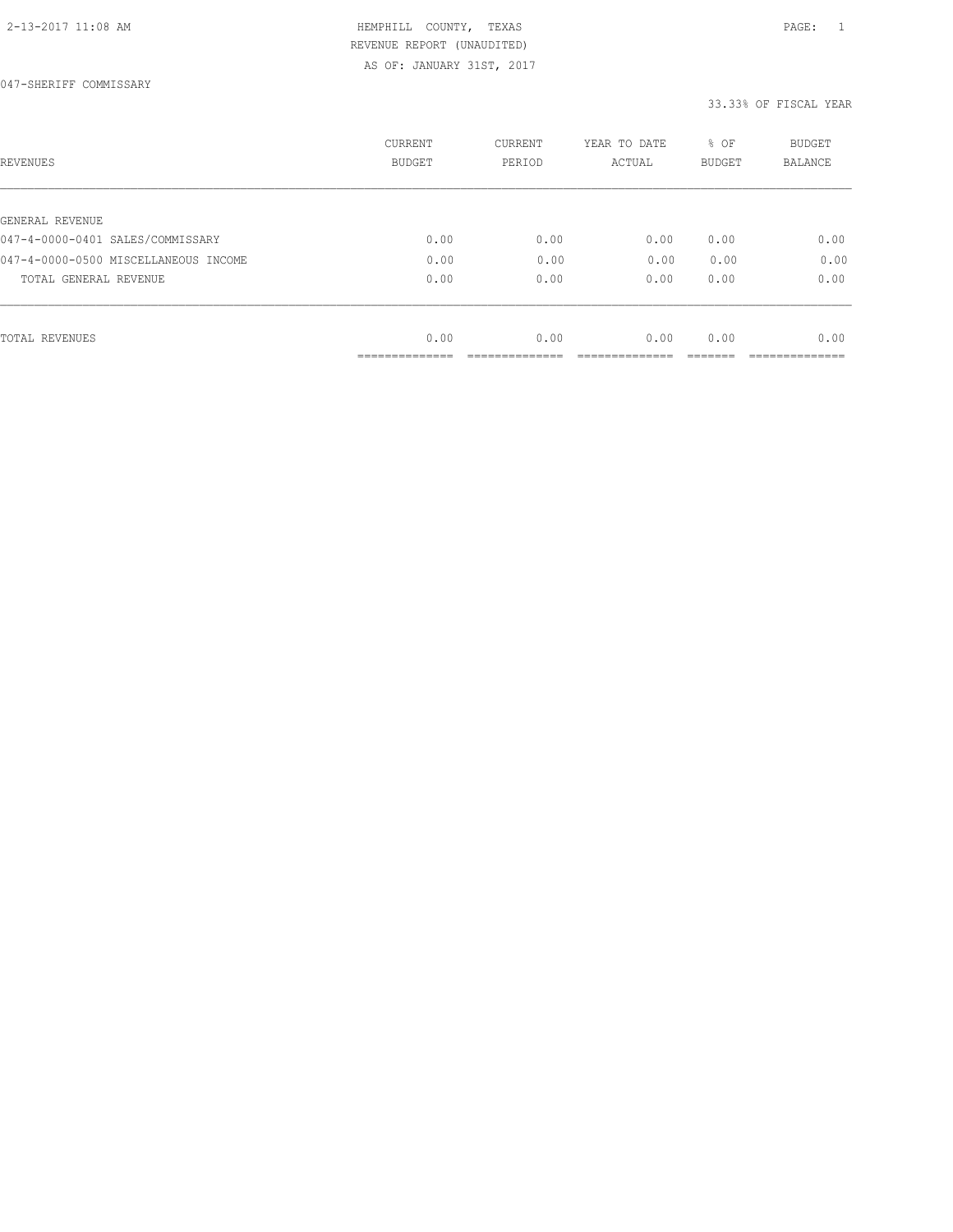AS OF: JANUARY 31ST, 2017

047-SHERIFF COMMISSARY

| REVENUES                             | <b>CURRENT</b><br><b>BUDGET</b> | CURRENT<br>PERIOD | YEAR TO DATE<br>ACTUAL | % OF<br><b>BUDGET</b> | <b>BUDGET</b><br>BALANCE |
|--------------------------------------|---------------------------------|-------------------|------------------------|-----------------------|--------------------------|
|                                      |                                 |                   |                        |                       |                          |
| GENERAL REVENUE                      |                                 |                   |                        |                       |                          |
| 047-4-0000-0401 SALES/COMMISSARY     | 0.00                            | 0.00              | 0.00                   | 0.00                  | 0.00                     |
| 047-4-0000-0500 MISCELLANEOUS INCOME | 0.00                            | 0.00              | 0.00                   | 0.00                  | 0.00                     |
| TOTAL GENERAL REVENUE                | 0.00                            | 0.00              | 0.00                   | 0.00                  | 0.00                     |
|                                      |                                 |                   |                        |                       |                          |
| TOTAL REVENUES                       | 0.00                            | 0.00              | 0.00                   | 0.00                  | 0.00                     |
|                                      | -----------                     |                   |                        |                       |                          |